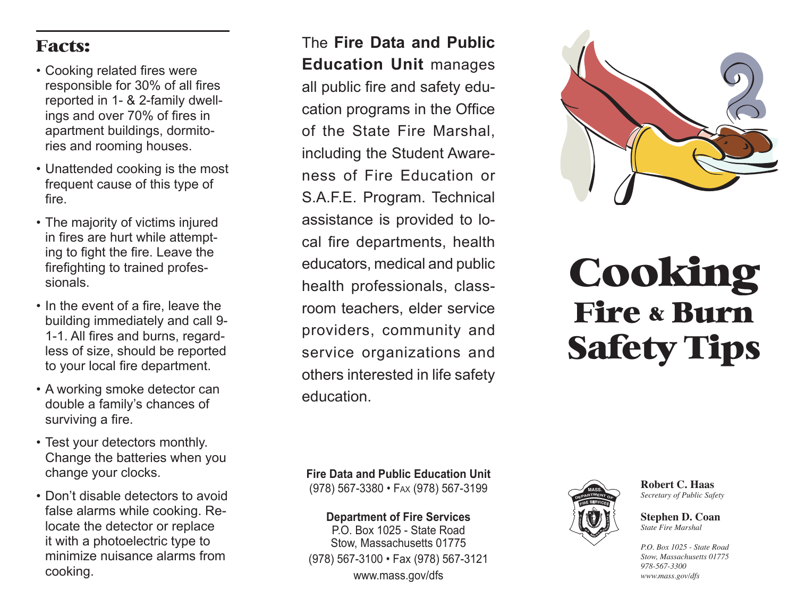### Facts:

- Cooking related fires were responsible for 30% of all fires reported in 1- & 2-family dwell ings and over 70% of fires in apartment buildings, dormito ries and rooming houses. •••••••
- Unattended cooking is the most frequent cause of this type of fire.
- The majority of victims injured in fires are hurt while attempt ing to fight the fire. Leave the firefighting to trained profes sionals.
- In the event of a fire, leave the building immediately and call 9- 1-1. All fires and burns, regard less of size, should be reported to your local fire department.
- A working smoke detector can double a family's chances of surviving a fire.
- Test your detectors monthly. Change the batteries when you change your clocks.
- Don't disable detectors to avoid false alarms while cooking. Relocate the detector or replace it with a photoelectric type to minimize nuisance alarms from cooking.

The **Fire Data and Public Education Unit** manages all public fire and safety edu cation programs in the Office of the State Fire Marshal, including the Student Aware ness of Fire Education or S.A.F.E. Program. Technical assistance is provided to lo cal fire departments, health educators, medical and public health professionals, class room teachers, elder service providers, community and service organizations and others interested in life safety education.



# Cooking Fire & Burn Safety Tips

**Fire Data and Public Education Unit** (978) 567-3380 • FAX (978) 567-3199

**Department of Fire Services**

P.O. Box 1025 - State Road Stow, Massachusetts 01775 (978) 567-3100 • Fax (978) 567-3121 www.mass.gov/dfs



**Robert C. Haas** *Secretary of Public Safety*

**Stephen D. Coan** *State Fire Marshal*

*P.O. Box 1025 - State Road Stow, Massachusetts 01775 978-567-3300 www.mass.gov/dfs*